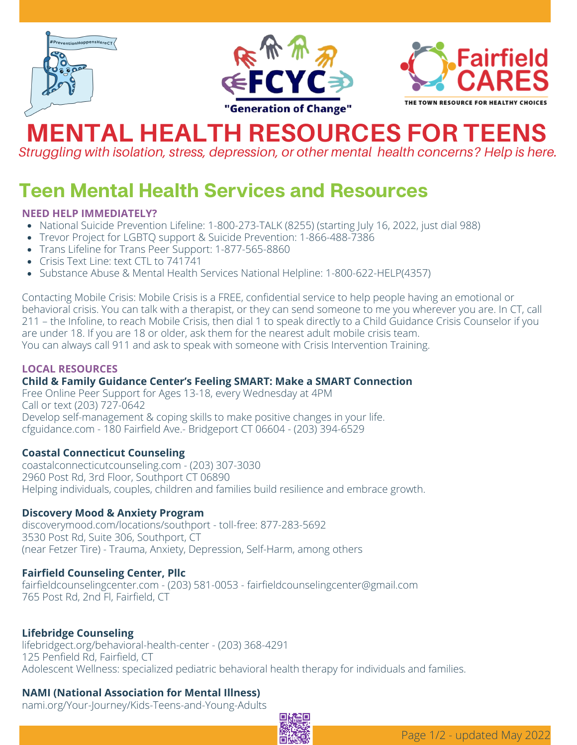





# **MENTAL HEALTH RESOURCES FOR TEENS**

*Struggling with isolation, stress, depression, or other mental health concerns? Help is here.*

### **Teen Mental Health Services and Resources**

#### **[N](https://www.ccfairfield.org/project/counseling/)EED HELP IMMEDIATELY?**

- National Suicide [Prevention](https://suicidepreventionlifeline.org/) Lifeline: [1-800-273-TALK](https://www.ccfairfield.org/project/counseling/) (8255) (starting July 16, 2022, just dial 988)
- Trevor [Project](https://www.thetrevorproject.org/) for LGBTQ support & Suicide Prevention: 1-866-488-7386
- Trans [Lifeline](https://translifeline.org/) for Trans Peer Support: 1-877-565-8860
- [Crisis](https://www.crisistextline.org/) Text Line: text CTL to 741741
- [Substance](https://www.samhsa.gov/find-help/national-helpline) Abuse & Mental Health Services National Helpline: 1-800-622-HELP(4357)

Contacting Mobile Crisis: Mobile Crisis is a FREE, confidential service to help people having an emotional or behavioral crisis. You can talk with a therapist, or they can send someone to me you wherever you are. In CT, call 211 – the Infoline, to reach Mobile Crisis, then dial 1 to speak directly to a Child [Guidance](https://cfguidance.com/) Crisis Counselor if you are under 18. If you are 18 or older, ask them for the nearest adult mobile crisis team. You can always call 911 and ask to speak with someone with Crisis Intervention Training.

#### **LOCAL RESOURCES**

#### **Child & Family Guidance Center's Feeling SMART: Make a SMART Connection**

Free Online Peer Support for Ages 13-18, every Wednesday at 4PM Call or text (203) 727-0642 Develop self-management & coping skills to make positive changes in your life. [cfguidance.com](https://cfguidance.com/) - 180 Fairfield Ave.- Bridgeport CT 06604 - (203) 394-6529

#### **Coastal Connecticut Counseling**

[coastalconnecticutcounseling.com](https://www.coastalconnecticutcounseling.com/) - (203) 307-3030 2960 Post Rd, 3rd Floor, Southport CT 06890 Helping individuals, couples, children and families build resilience and embrace growth.

#### **Discovery Mood & Anxiety Program**

[discoverymood.com/locations/southport](http://discoverymood.com/locations/southport) - toll-free: 877-283-5692 3530 Post Rd, Suite 306, Southport, CT (near Fetzer Tire) - Trauma, Anxiety, Depression, Self-Harm, among others

#### **Fairfield Counseling Center, Pllc**

[fairfieldcounselingcenter.com](http://fairfieldcounselingcenter.com/) - (203) 581-0053 - [fairfieldcounselingcenter@gmail.com](mailto:fairfieldcounselingcenter@gmail.com?subject=Teen%20Mental%20Health%20Support%20Question) 765 Post Rd, 2nd Fl, Fairfield, CT

#### **Lifebridge Counseling**

[lifebridgect.org/behavioral-health-center](https://lifebridgect.org/behavioral-health-center/) - (203) 368-4291 125 Penfield Rd, Fairfield, CT Adolescent Wellness: specialized pediatric behavioral health therapy for individuals and families.

#### **NAMI (National Association for Mental Illness)**

[nami.org/Your-Journey/Kids-Teens-and-Young-Adults](https://www.nami.org/Your-Journey/Kids-Teens-and-Young-Adults)